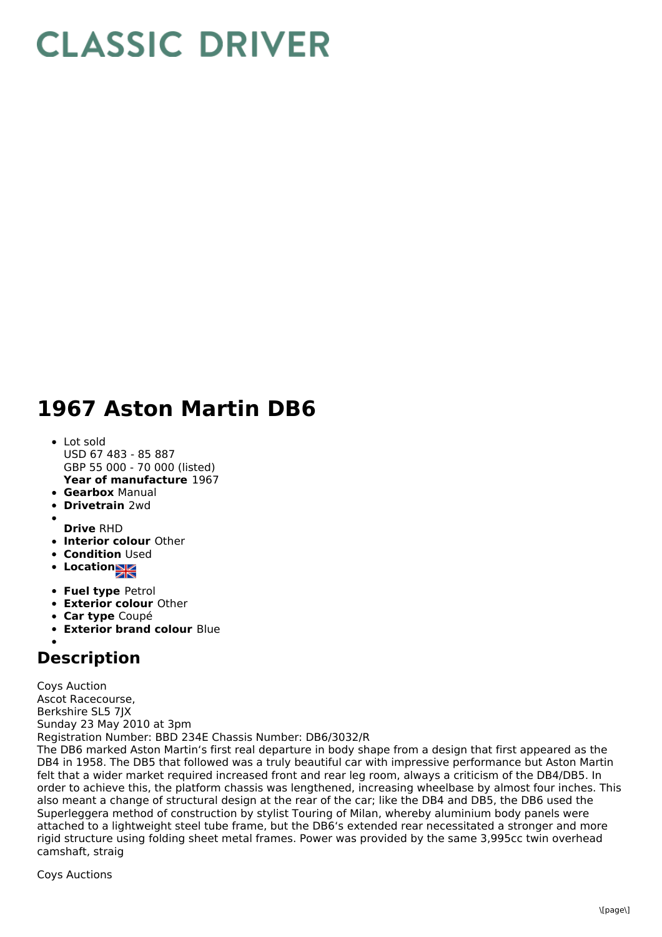## **CLASSIC DRIVER**

## **1967 Aston Martin DB6**

- **Year of manufacture** 1967 Lot sold USD 67 483 - 85 887 GBP 55 000 - 70 000 (listed)
- **Gearbox** Manual
- **Drivetrain** 2wd
- 
- **Drive** RHD
- **Interior colour** Other
- **Condition Used**
- **Location**
- **Fuel type** Petrol
- **Exterior colour** Other
- **Car type** Coupé
- **Exterior brand colour** Blue

## **Description**

Coys Auction Ascot Racecourse, Berkshire SL5 7JX Sunday 23 May 2010 at 3pm Registration Number: BBD 234E Chassis Number: DB6/3032/R

The DB6 marked Aston Martin's first real departure in body shape from a design that first appeared as the DB4 in 1958. The DB5 that followed was a truly beautiful car with impressive performance but Aston Martin felt that a wider market required increased front and rear leg room, always a criticism of the DB4/DB5. In order to achieve this, the platform chassis was lengthened, increasing wheelbase by almost four inches. This also meant a change of structural design at the rear of the car; like the DB4 and DB5, the DB6 used the Superleggera method of construction by stylist Touring of Milan, whereby aluminium body panels were attached to a lightweight steel tube frame, but the DB6's extended rear necessitated a stronger and more rigid structure using folding sheet metal frames. Power was provided by the same 3,995cc twin overhead camshaft, straig

Coys Auctions